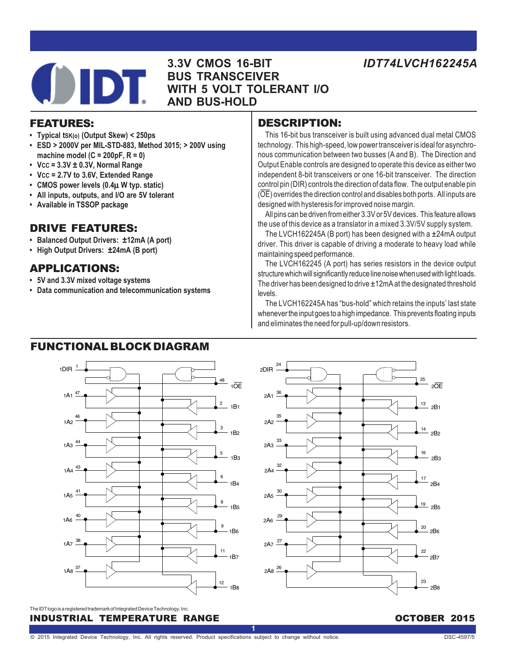**3.3V CMOS 16-BIT BUS TRANSCEIVER WITH 5 VOLT TOLERANT I/O AND BUS-HOLD**

# FEATURES:

- **Typical tSK(o) (Output Skew) < 250ps**
- **ESD > 2000V per MIL-STD-883, Method 3015; > 200V using machine model (C = 200pF, R = 0)**
- **VCC = 3.3V ± 0.3V, Normal Range**
- **VCC = 2.7V to 3.6V, Extended Range**
- **CMOS power levels (0.4**μ **W typ. static)**
- **All inputs, outputs, and I/O are 5V tolerant**
- **Available in TSSOP package**

# DRIVE FEATURES:

- **Balanced Output Drivers: ±12mA (A port)**
- **High Output Drivers: ±24mA (B port)**

# APPLICATIONS:

- **5V and 3.3V mixed voltage systems**
- **Data communication and telecommunication systems**

# DESCRIPTION:

This 16-bit bus transceiver is built using advanced dual metal CMOS technology. This high-speed, low power transceiver is ideal for asynchronous communication between two busses (A and B). The Direction and Output Enable controls are designed to operate this device as either two independent 8-bit transceivers or one 16-bit transceiver. The direction control pin (DIR) controls the direction of data flow. The output enable pin (OE) overrides the direction control and disables both ports. All inputs are designed with hysteresis for improved noise margin.

All pins can be driven from either 3.3V or 5V devices. This feature allows the use of this device as a translator in a mixed 3.3V/5V supply system.

The LVCH162245A (B port) has been designed with a ±24mA output driver. This driver is capable of driving a moderate to heavy load while maintaining speed performance.

The LVCH162245 (A port) has series resistors in the device output structure which will significantly reduce line noise when used with light loads. The driver has been designed to drive  $\pm 12$ mA at the designated threshold levels.

The LVCH162245A has "bus-hold" which retains the inputs' last state whenever the input goes to a high impedance. This prevents floating inputs and eliminates the need for pull-up/down resistors.

# FUNCTIONAL BLOCK DIAGRAM





INDUSTRIAL TEMPERATURE RANGE **And the Community Community** october 2015 The IDT logo is a registered trademark of Integrated Device Technology, Inc.

**1**

*IDT74LVCH162245A*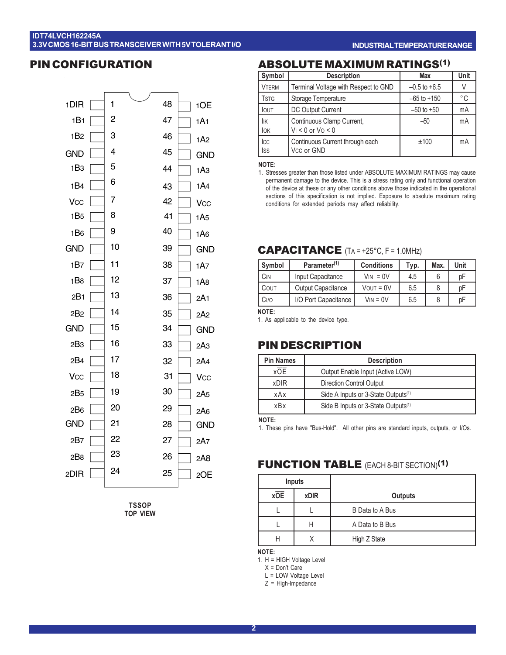### **IDT74LVCH162245A 3.3V CMOS 16-BIT BUS TRANSCEIVER WITH 5V TOLERANT I/O**

### PIN CONFIGURATION



**TSSOP TOP VIEW**

#### **INDUSTRIAL TEMPERATURE RANGE**

# ABSOLUTE MAXIMUM RATINGS(1)

| Symbol            | <b>Description</b>                                  | Max              | Unit         |
|-------------------|-----------------------------------------------------|------------------|--------------|
| <b>VTERM</b>      | Terminal Voltage with Respect to GND                | $-0.5$ to $+6.5$ | V            |
| <b>TSTG</b>       | Storage Temperature                                 | $-65$ to $+150$  | $^{\circ}$ C |
| <b>IOUT</b>       | DC Output Current                                   | $-50$ to $+50$   | mA           |
| lік<br><b>IOK</b> | Continuous Clamp Current,<br>$V_1 < 0$ or $V_0 < 0$ | $-50$            | mA           |
| Icc<br><b>Iss</b> | Continuous Current through each<br>Vcc or GND       | ±100             | mA           |

**NOTE:**

1. Stresses greater than those listed under ABSOLUTE MAXIMUM RATINGS may cause permanent damage to the device. This is a stress rating only and functional operation of the device at these or any other conditions above those indicated in the operational sections of this specification is not implied. Exposure to absolute maximum rating conditions for extended periods may affect reliability.

### CAPACITANCE (TA = +25°C, F = 1.0MHz)

| Symbol           | Parameter <sup>(1)</sup>  | <b>Conditions</b> | Typ. | Max. | Unit |
|------------------|---------------------------|-------------------|------|------|------|
| CIN              | Input Capacitance         | $V_{IN} = 0V$     | 4.5  | 6    | рF   |
| COUT             | <b>Output Capacitance</b> | $V$ OUT = $0V$    | 6.5  | 8    | pF   |
| C <sub>I/O</sub> | I/O Port Capacitance      | $V_{IN} = 0V$     | 6.5  | 8    | рF   |
| $\lambda$        |                           |                   |      |      |      |

**NOTE:**

1. As applicable to the device type.

# PIN DESCRIPTION

| <b>Pin Names</b><br><b>Description</b> |                                                 |  |  |  |
|----------------------------------------|-------------------------------------------------|--|--|--|
| <b>xOE</b>                             | Output Enable Input (Active LOW)                |  |  |  |
| <b>xDIR</b>                            | <b>Direction Control Output</b>                 |  |  |  |
| xAx                                    | Side A Inputs or 3-State Outputs <sup>(1)</sup> |  |  |  |
| xBx                                    | Side B Inputs or 3-State Outputs <sup>(1)</sup> |  |  |  |

**NOTE:**

1. These pins have "Bus-Hold". All other pins are standard inputs, outputs, or I/Os.

### **FUNCTION TABLE** (EACH 8-BIT SECTION)<sup>(1)</sup>

| Inputs |             |                 |
|--------|-------------|-----------------|
| xOE    | <b>xDIR</b> | Outputs         |
|        |             | B Data to A Bus |
|        | Н           | A Data to B Bus |
| Н      |             | High Z State    |

**NOTE:**

1. H = HIGH Voltage Level

X = Don't Care

L = LOW Voltage Level Z = High-Impedance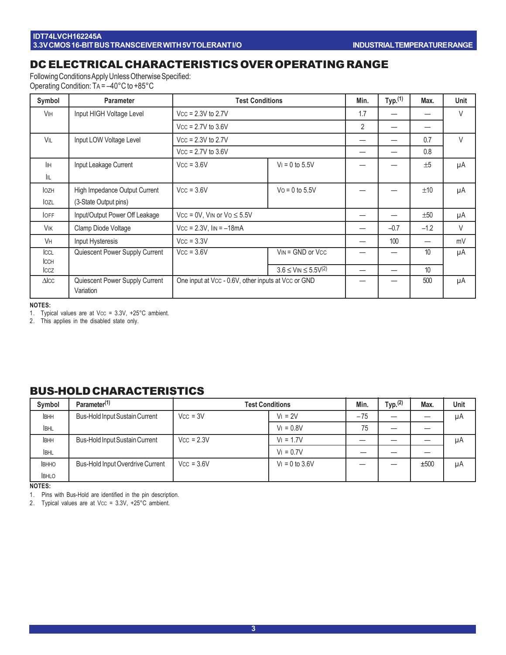# DC ELECTRICAL CHARACTERISTICS OVER OPERATING RANGE

Following Conditions Apply Unless Otherwise Specified: Operating Condition: TA = –40°C to +85°C

| Symbol                     | <b>Parameter</b>                            | <b>Test Conditions</b>                              |                                            | Min. | Typ. <sup>(1)</sup> | Max.   | <b>Unit</b> |
|----------------------------|---------------------------------------------|-----------------------------------------------------|--------------------------------------------|------|---------------------|--------|-------------|
| <b>V<sub>IH</sub></b>      | Input HIGH Voltage Level                    | $Vcc = 2.3V$ to 2.7V                                |                                            | 1.7  |                     |        | V           |
|                            |                                             | $Vcc = 2.7V$ to 3.6V                                |                                            | 2    |                     |        |             |
| VIL                        | Input LOW Voltage Level                     | $Vcc = 2.3V$ to 2.7V                                |                                            |      |                     | 0.7    | $\vee$      |
|                            |                                             | $Vcc = 2.7V$ to 3.6V                                |                                            |      |                     | 0.8    |             |
| İІН                        | Input Leakage Current                       | $Vcc = 3.6V$                                        | $V_1 = 0$ to 5.5V                          |      |                     | ±5     | μA          |
| IІL                        |                                             |                                                     |                                            |      |                     |        |             |
| <b>IOZH</b>                | High Impedance Output Current               | $Vcc = 3.6V$                                        | $Vo = 0$ to 5.5V                           |      |                     | ±10    | μA          |
| lozl                       | (3-State Output pins)                       |                                                     |                                            |      |                     |        |             |
| <b>IOFF</b>                | Input/Output Power Off Leakage              | $Vcc = 0V$ , VIN or $Vo \le 5.5V$                   |                                            |      |                     | ±50    | μA          |
| <b>VIK</b>                 | Clamp Diode Voltage                         | $Vcc = 2.3V$ , $I_{IN} = -18mA$                     |                                            |      | $-0.7$              | $-1.2$ | V           |
| <b>V<sub>H</sub></b>       | Input Hysteresis                            | $Vcc = 3.3V$                                        |                                            |      | 100                 |        | mV          |
| ICCL                       | Quiescent Power Supply Current              | $Vcc = 3.6V$                                        | $V_{IN} = GND$ or $V_{CC}$                 |      |                     | 10     | μA          |
| <b>ICCH</b><br><b>ICCZ</b> |                                             |                                                     | $3.6 \leq$ VIN $\leq 5.5$ V <sup>(2)</sup> |      |                     | 10     |             |
| $\triangle$ ICC            | Quiescent Power Supply Current<br>Variation | One input at Vcc - 0.6V, other inputs at Vcc or GND |                                            |      |                     | 500    | μA          |

**NOTES:**

1. Typical values are at Vcc = 3.3V, +25°C ambient.

2. This applies in the disabled state only.

# BUS-HOLD CHARACTERISTICS

| Symbol      | Parameter <sup>(1)</sup>                |              | <b>Test Conditions</b> |       | Typ. <sup>(2)</sup> | Max. | <b>Unit</b> |
|-------------|-----------------------------------------|--------------|------------------------|-------|---------------------|------|-------------|
| <b>IBHH</b> | <b>Bus-Hold Input Sustain Current</b>   | $Vcc = 3V$   | $V_1 = 2V$             | $-75$ |                     |      | μA          |
| <b>IBHL</b> |                                         |              | $V_1 = 0.8V$           | 75    |                     |      |             |
| <b>IBHH</b> | <b>Bus-Hold Input Sustain Current</b>   | $Vcc = 2.3V$ | $V_1 = 1.7V$           |       |                     |      | μA          |
| <b>BHL</b>  |                                         |              | $V_1 = 0.7V$           |       |                     |      |             |
| <b>BHHO</b> | <b>Bus-Hold Input Overdrive Current</b> | $Vcc = 3.6V$ | $V_1 = 0$ to 3.6V      |       |                     | ±500 | μA          |
| <b>BHLO</b> |                                         |              |                        |       |                     |      |             |

**NOTES:**

1. Pins with Bus-Hold are identified in the pin description.

2. Typical values are at Vcc = 3.3V, +25°C ambient.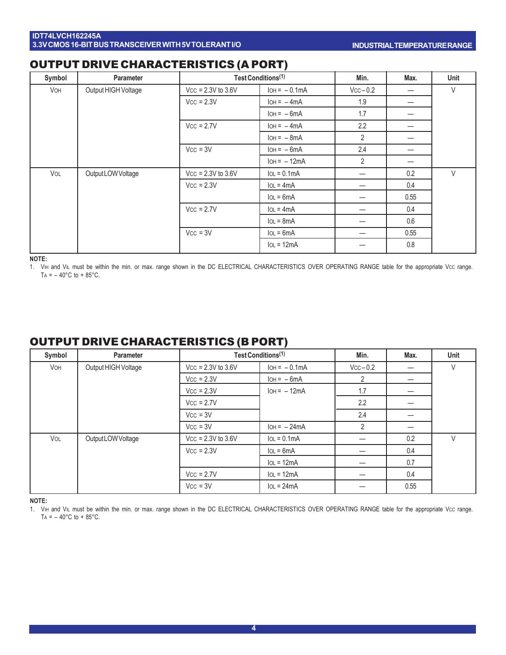# OUTPUT DRIVE CHARACTERISTICS (A PORT)

| Symbol | <b>Parameter</b>    | Test Conditions <sup>(1)</sup> |                | Min.           | Max. | Unit   |
|--------|---------------------|--------------------------------|----------------|----------------|------|--------|
| VOH    | Output HIGH Voltage | $Vcc = 2.3V$ to 3.6V           | $IOH = -0.1mA$ | $Vcc-0.2$      | —    | $\vee$ |
|        |                     | $Vcc = 2.3V$                   | $IOH = -4mA$   | 1.9            | —    |        |
|        |                     |                                | $IOH = -6mA$   | 1.7            | —    |        |
|        |                     | $Vcc = 2.7V$                   | $IOH = -4mA$   | 2.2            |      |        |
|        |                     |                                | $IOH = -8mA$   | $\overline{2}$ | —    |        |
|        |                     | $Vcc = 3V$                     | $IOH = -6mA$   | 2.4            | —    |        |
|        |                     |                                | $IOH = -12mA$  | $\overline{2}$ | —    |        |
| VOL    | Output LOW Voltage  | $Vcc = 2.3V$ to 3.6V           | $IoL = 0.1mA$  |                | 0.2  | V      |
|        |                     | $Vcc = 2.3V$                   | $IoL = 4mA$    |                | 0.4  |        |
|        |                     |                                | $IoL = 6mA$    |                | 0.55 |        |
|        |                     | $Vcc = 2.7V$                   | $IoL = 4mA$    |                | 0.4  |        |
|        |                     |                                | $IoL = 8mA$    |                | 0.6  |        |
|        |                     | $Vcc = 3V$                     | $IoL = 6mA$    |                | 0.55 |        |
|        |                     |                                | $IoL = 12mA$   |                | 0.8  |        |

**NOTE:**

1. VIH and VIL must be within the min. or max. range shown in the DC ELECTRICAL CHARACTERISTICS OVER OPERATING RANGE table for the appropriate Vcc range. TA =  $-$  40°C to + 85°C.

# OUTPUT DRIVE CHARACTERISTICS (B PORT)

| Symbol     | <b>Parameter</b>    | Test Conditions <sup>(1)</sup> |                | Min.           | Max. | Unit |
|------------|---------------------|--------------------------------|----------------|----------------|------|------|
| <b>VOH</b> | Output HIGH Voltage | $Vcc = 2.3V$ to 3.6V           | $IOH = -0.1mA$ | $Vcc - 0.2$    |      | V    |
|            |                     | $Vcc = 2.3V$                   | $IOH = -6mA$   | 2              | —    |      |
|            |                     | $Vcc = 2.3V$                   | $IOH = -12mA$  | 1.7            | —    |      |
|            |                     | $Vcc = 2.7V$                   |                | 2.2            |      |      |
|            |                     | $Vcc = 3V$                     |                | 2.4            |      |      |
|            |                     | $Vcc = 3V$                     | $IOH = -24mA$  | $\overline{2}$ |      |      |
| VOL        | Output LOW Voltage  | $Vcc = 2.3V$ to 3.6V           | $IoL = 0.1mA$  |                | 0.2  | V    |
|            |                     | $Vcc = 2.3V$                   | $IOL = 6mA$    |                | 0.4  |      |
|            |                     |                                | $IoL = 12mA$   |                | 0.7  |      |
|            |                     | $Vcc = 2.7V$                   | $IoL = 12mA$   |                | 0.4  |      |
|            |                     | $Vcc = 3V$                     | $IoL = 24mA$   |                | 0.55 |      |

**NOTE:**

1. ViH and VIL must be within the min. or max. range shown in the DC ELECTRICAL CHARACTERISTICS OVER OPERATING RANGE table for the appropriate Vcc range. TA =  $-$  40°C to + 85°C.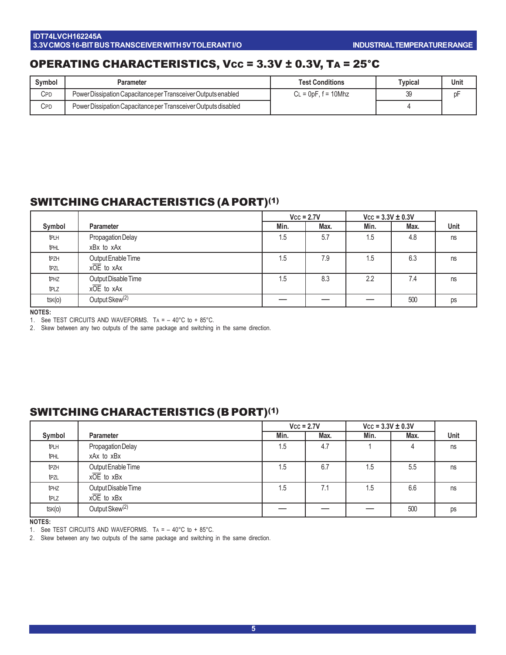# OPERATING CHARACTERISTICS, Vcc = 3.3V ± 0.3V, TA = 25°C

| Symbol     | Parameter                                                      | <b>Test Conditions</b>      | Typical | Unit |
|------------|----------------------------------------------------------------|-----------------------------|---------|------|
| <b>CPD</b> | Power Dissipation Capacitance per Transceiver Outputs enabled  | $\epsilon$ = 0pF, f = 10Mhz |         |      |
| <b>CPD</b> | Power Dissipation Capacitance per Transceiver Outputs disabled |                             |         |      |

# SWITCHING CHARACTERISTICS (A PORT)(1)

|                  |                            |      | $Vcc = 2.7V$ | $Vcc = 3.3V \pm 0.3V$ |      |      |
|------------------|----------------------------|------|--------------|-----------------------|------|------|
| Symbol           | <b>Parameter</b>           | Min. | Max.         | Min.                  | Max. | Unit |
| tрlн             | Propagation Delay          | 1.5  | 5.7          | 1.5                   | 4.8  | ns   |
| <b>t</b> PHL     | xBx to xAx                 |      |              |                       |      |      |
| t <sub>PZH</sub> | Output Enable Time         | 1.5  | 7.9          | .5                    | 6.3  | ns   |
| tpzl             | $x\overline{OE}$ to $xAx$  |      |              |                       |      |      |
| t <sub>PHZ</sub> | Output Disable Time        | 1.5  | 8.3          | 2.2                   | 7.4  | ns   |
| tplz             | $x\overline{OE}$ to $xAx$  |      |              |                       |      |      |
| tsk(o)           | Output Skew <sup>(2)</sup> |      |              |                       | 500  | ps   |

**NOTES:**

1. See TEST CIRCUITS AND WAVEFORMS. TA = – 40°C to + 85°C.

2. Skew between any two outputs of the same package and switching in the same direction.

# SWITCHING CHARACTERISTICS (B PORT)(1)

|                  |                            |      | $Vcc = 2.7V$ | $Vcc = 3.3V \pm 0.3V$ |      |      |
|------------------|----------------------------|------|--------------|-----------------------|------|------|
| Symbol           | <b>Parameter</b>           | Min. | Max.         | Min.                  | Max. | Unit |
| tрlн             | Propagation Delay          | 1.5  | 4.7          |                       | 4    | ns   |
| <b>t</b> PHL     | xAx to xBx                 |      |              |                       |      |      |
| t <sub>PZH</sub> | Output Enable Time         | 1.5  | 6.7          | .5                    | 5.5  | ns   |
| tpzl             | $x\overline{OE}$ to $xBx$  |      |              |                       |      |      |
| t <sub>PHZ</sub> | Output Disable Time        | 1.5  | 7.1          | .5                    | 6.6  | ns   |
| tplz             | $x\overline{OE}$ to $xBx$  |      |              |                       |      |      |
| $t$ SK $(o)$     | Output Skew <sup>(2)</sup> |      |              |                       | 500  | ps   |

**NOTES:**

1. See TEST CIRCUITS AND WAVEFORMS. TA = – 40°C to + 85°C.

2. Skew between any two outputs of the same package and switching in the same direction.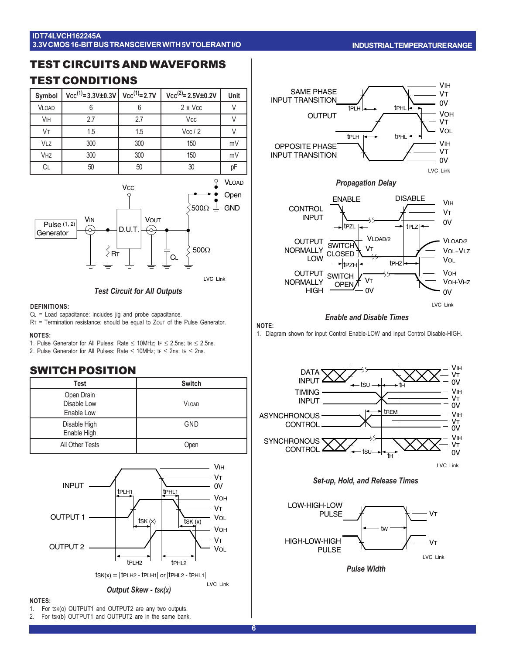### **IDT74LVCH162245A 3.3V CMOS 16-BIT BUS TRANSCEIVER WITH 5V TOLERANT I/O**

### **INDUSTRIAL TEMPERATURE RANGE**

# TEST CIRCUITS AND WAVEFORMS

# TEST CONDITIONS

| Symbol       | $Vcc^{(1)}=3.3V\pm0.3V$ $Vcc^{(1)}=2.7V$ |     | $Vcc^{(2)} = 2.5V \pm 0.2V$ | Unit |
|--------------|------------------------------------------|-----|-----------------------------|------|
| <b>VLOAD</b> |                                          |     | 2 x Vcc                     |      |
| <b>VIH</b>   | 2.7                                      | 2.7 | Vcc                         |      |
| Vт           | 1.5                                      | 1.5 | Vec/2                       |      |
| VLZ          | 300                                      | 300 | 150                         | mV   |
| <b>VHZ</b>   | 300                                      | 300 | 150                         | mV   |
| СL           | 50                                       | 50  | 30                          | pF   |



### LVC Link

### *Test Circuit for All Outputs*

### **DEFINITIONS:**

CL = Load capacitance: includes jig and probe capacitance.

RT = Termination resistance: should be equal to ZOUT of the Pulse Generator.

#### **NOTES:**

1. Pulse Generator for All Pulses: Rate  $\leq$  10MHz; tr  $\leq$  2.5ns; tr  $\leq$  2.5ns. 2. Pulse Generator for All Pulses: Rate  $\leq$  10MHz; tr  $\leq$  2ns; tr  $\leq$  2ns.

### SWITCH POSITION

| Test                                    | <b>Switch</b> |
|-----------------------------------------|---------------|
| Open Drain<br>Disable Low<br>Enable Low | <b>VLOAD</b>  |
| Disable High<br>Enable High             | GND           |
| All Other Tests                         | Open          |





### **NOTES:**

1. For tsk(o) OUTPUT1 and OUTPUT2 are any two outputs.

2. For tsk(b) OUTPUT1 and OUTPUT2 are in the same bank.



*Propagation Delay*



#### *Enable and Disable Times*

#### **NOTE:**

1. Diagram shown for input Control Enable-LOW and input Control Disable-HIGH.







*Pulse Width*